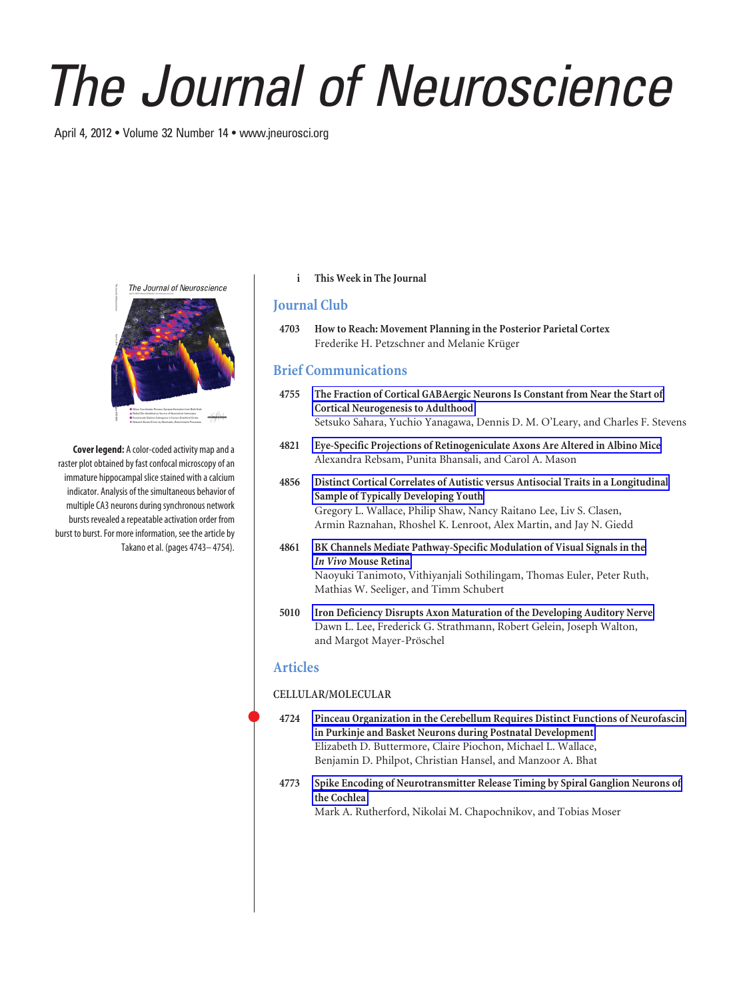# *The Journal of Neuroscience*

April 4, 2012 • Volume 32 Number 14 • www.jneurosci.org



**Cover legend:** A color-coded activity map and a raster plot obtained by fast confocal microscopy of an immature hippocampal slice stained with a calcium indicator. Analysis of the simultaneous behavior of multiple CA3 neurons during synchronous network bursts revealed a repeatable activation order from burst to burst. For more information, see the article by Takano et al. (pages 4743– 4754).

### **i This Week in The Journal**

# **Journal Club**

**4703 How to Reach: Movement Planning in the Posterior Parietal Cortex** Frederike H. Petzschner and Melanie Krüger

# **Brief Communications**

- **4755 The Fraction of Cortical GABAergic Neurons Is Constant from Near the Start of Cortical Neurogenesis to Adulthood** Setsuko Sahara, Yuchio Yanagawa, Dennis D. M. O'Leary, and Charles F. Stevens
- **4821 Eye-Specific Projections of Retinogeniculate Axons Are Altered in Albino Mice** Alexandra Rebsam, Punita Bhansali, and Carol A. Mason
- **4856 Distinct Cortical Correlates of Autistic versus Antisocial Traits in a Longitudinal Sample of Typically Developing Youth** Gregory L. Wallace, Philip Shaw, Nancy Raitano Lee, Liv S. Clasen, Armin Raznahan, Rhoshel K. Lenroot, Alex Martin, and Jay N. Giedd
- **4861 BK Channels Mediate Pathway-Specific Modulation of Visual Signals in the** *In Vivo* **Mouse Retina** Naoyuki Tanimoto, Vithiyanjali Sothilingam, Thomas Euler, Peter Ruth, Mathias W. Seeliger, and Timm Schubert
- **5010 Iron Deficiency Disrupts Axon Maturation of the Developing Auditory Nerve** Dawn L. Lee, Frederick G. Strathmann, Robert Gelein, Joseph Walton, and Margot Mayer-Pröschel

## **Articles**

### **CELLULAR/MOLECULAR**

- **4724 Pinceau Organization in the Cerebellum Requires Distinct Functions of Neurofascin in Purkinje and Basket Neurons during Postnatal Development** Elizabeth D. Buttermore, Claire Piochon, Michael L. Wallace, Benjamin D. Philpot, Christian Hansel, and Manzoor A. Bhat
- **4773 Spike Encoding of Neurotransmitter Release Timing by Spiral Ganglion Neurons of the Cochlea**

Mark A. Rutherford, Nikolai M. Chapochnikov, and Tobias Moser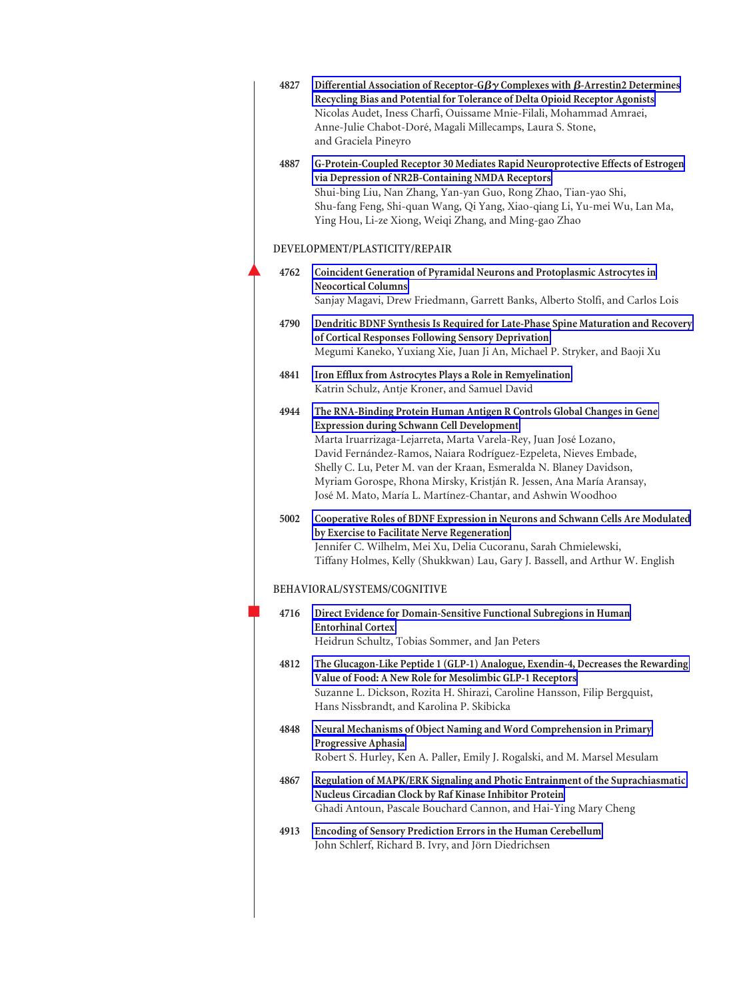| 4827 | Differential Association of Receptor-G $\beta\gamma$ Complexes with $\beta$ -Arrestin2 Determines<br>Recycling Bias and Potential for Tolerance of Delta Opioid Receptor Agonists<br>Nicolas Audet, Iness Charfi, Ouissame Mnie-Filali, Mohammad Amraei,<br>Anne-Julie Chabot-Doré, Magali Millecamps, Laura S. Stone,<br>and Graciela Pineyro                                                                                                                                     |
|------|------------------------------------------------------------------------------------------------------------------------------------------------------------------------------------------------------------------------------------------------------------------------------------------------------------------------------------------------------------------------------------------------------------------------------------------------------------------------------------|
| 4887 | G-Protein-Coupled Receptor 30 Mediates Rapid Neuroprotective Effects of Estrogen<br>via Depression of NR2B-Containing NMDA Receptors<br>Shui-bing Liu, Nan Zhang, Yan-yan Guo, Rong Zhao, Tian-yao Shi,<br>Shu-fang Feng, Shi-quan Wang, Qi Yang, Xiao-qiang Li, Yu-mei Wu, Lan Ma,<br>Ying Hou, Li-ze Xiong, Weiqi Zhang, and Ming-gao Zhao                                                                                                                                       |
|      | DEVELOPMENT/PLASTICITY/REPAIR                                                                                                                                                                                                                                                                                                                                                                                                                                                      |
| 4762 | Coincident Generation of Pyramidal Neurons and Protoplasmic Astrocytes in<br><b>Neocortical Columns</b><br>Sanjay Magavi, Drew Friedmann, Garrett Banks, Alberto Stolfi, and Carlos Lois                                                                                                                                                                                                                                                                                           |
| 4790 | Dendritic BDNF Synthesis Is Required for Late-Phase Spine Maturation and Recovery<br>of Cortical Responses Following Sensory Deprivation<br>Megumi Kaneko, Yuxiang Xie, Juan Ji An, Michael P. Stryker, and Baoji Xu                                                                                                                                                                                                                                                               |
| 4841 | Iron Efflux from Astrocytes Plays a Role in Remyelination<br>Katrin Schulz, Antje Kroner, and Samuel David                                                                                                                                                                                                                                                                                                                                                                         |
| 4944 | The RNA-Binding Protein Human Antigen R Controls Global Changes in Gene<br><b>Expression during Schwann Cell Development</b><br>Marta Iruarrizaga-Lejarreta, Marta Varela-Rey, Juan José Lozano,<br>David Fernández-Ramos, Naiara Rodríguez-Ezpeleta, Nieves Embade,<br>Shelly C. Lu, Peter M. van der Kraan, Esmeralda N. Blaney Davidson,<br>Myriam Gorospe, Rhona Mirsky, Kristján R. Jessen, Ana María Aransay,<br>José M. Mato, María L. Martínez-Chantar, and Ashwin Woodhoo |
| 5002 | Cooperative Roles of BDNF Expression in Neurons and Schwann Cells Are Modulated<br>by Exercise to Facilitate Nerve Regeneration<br>Jennifer C. Wilhelm, Mei Xu, Delia Cucoranu, Sarah Chmielewski,<br>Tiffany Holmes, Kelly (Shukkwan) Lau, Gary J. Bassell, and Arthur W. English                                                                                                                                                                                                 |
|      | BEHAVIORAL/SYSTEMS/COGNITIVE                                                                                                                                                                                                                                                                                                                                                                                                                                                       |
| 4716 | Direct Evidence for Domain-Sensitive Functional Subregions in Human<br><b>Entorhinal Cortex</b><br>Heidrun Schultz, Tobias Sommer, and Jan Peters                                                                                                                                                                                                                                                                                                                                  |
| 4812 | The Glucagon-Like Peptide 1 (GLP-1) Analogue, Exendin-4, Decreases the Rewarding<br>Value of Food: A New Role for Mesolimbic GLP-1 Receptors<br>Suzanne L. Dickson, Rozita H. Shirazi, Caroline Hansson, Filip Bergquist,<br>Hans Nissbrandt, and Karolina P. Skibicka                                                                                                                                                                                                             |
| 4848 | Neural Mechanisms of Object Naming and Word Comprehension in Primary<br>Progressive Aphasia<br>Robert S. Hurley, Ken A. Paller, Emily J. Rogalski, and M. Marsel Mesulam                                                                                                                                                                                                                                                                                                           |
| 4867 | Regulation of MAPK/ERK Signaling and Photic Entrainment of the Suprachiasmatic<br>Nucleus Circadian Clock by Raf Kinase Inhibitor Protein<br>Ghadi Antoun, Pascale Bouchard Cannon, and Hai-Ying Mary Cheng                                                                                                                                                                                                                                                                        |
| 4913 | <b>Encoding of Sensory Prediction Errors in the Human Cerebellum</b><br>John Schlerf, Richard B. Ivry, and Jörn Diedrichsen                                                                                                                                                                                                                                                                                                                                                        |
|      |                                                                                                                                                                                                                                                                                                                                                                                                                                                                                    |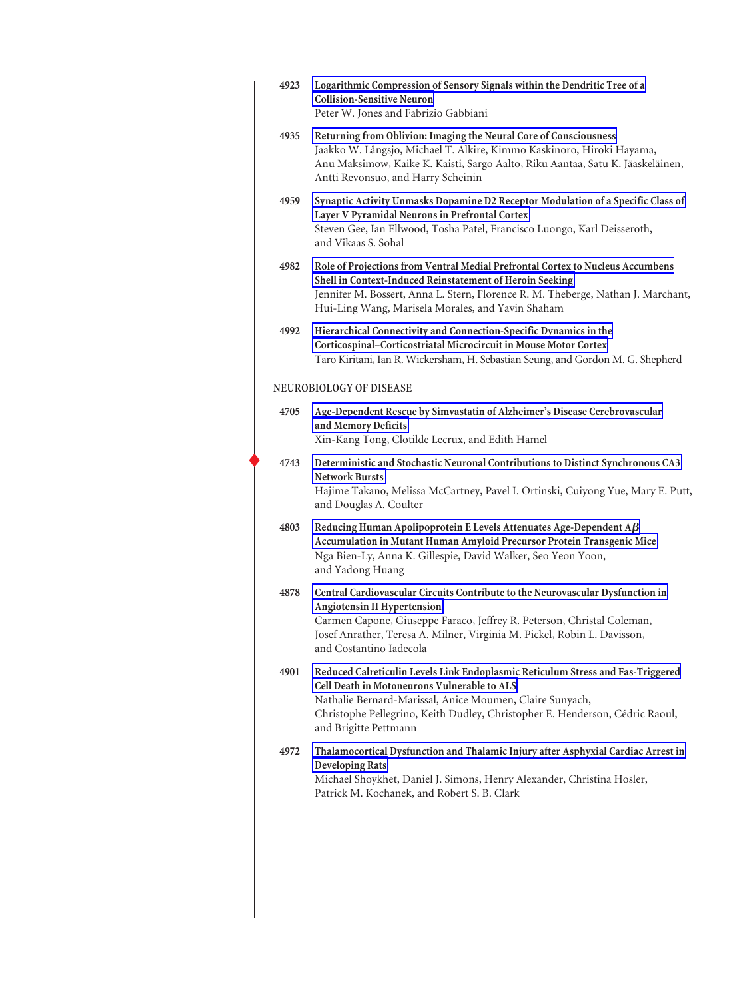| 4923                    | Logarithmic Compression of Sensory Signals within the Dendritic Tree of a<br><b>Collision-Sensitive Neuron</b><br>Peter W. Jones and Fabrizio Gabbiani                                                                                                                                              |  |
|-------------------------|-----------------------------------------------------------------------------------------------------------------------------------------------------------------------------------------------------------------------------------------------------------------------------------------------------|--|
| 4935                    | Returning from Oblivion: Imaging the Neural Core of Consciousness<br>Jaakko W. Långsjö, Michael T. Alkire, Kimmo Kaskinoro, Hiroki Hayama,<br>Anu Maksimow, Kaike K. Kaisti, Sargo Aalto, Riku Aantaa, Satu K. Jääskeläinen,<br>Antti Revonsuo, and Harry Scheinin                                  |  |
| 4959                    | Synaptic Activity Unmasks Dopamine D2 Receptor Modulation of a Specific Class of<br>Layer V Pyramidal Neurons in Prefrontal Cortex<br>Steven Gee, Ian Ellwood, Tosha Patel, Francisco Luongo, Karl Deisseroth,<br>and Vikaas S. Sohal                                                               |  |
| 4982                    | Role of Projections from Ventral Medial Prefrontal Cortex to Nucleus Accumbens<br>Shell in Context-Induced Reinstatement of Heroin Seeking<br>Jennifer M. Bossert, Anna L. Stern, Florence R. M. Theberge, Nathan J. Marchant,<br>Hui-Ling Wang, Marisela Morales, and Yavin Shaham                 |  |
| 4992                    | Hierarchical Connectivity and Connection-Specific Dynamics in the<br>Corticospinal-Corticostriatal Microcircuit in Mouse Motor Cortex<br>Taro Kiritani, Ian R. Wickersham, H. Sebastian Seung, and Gordon M. G. Shepherd                                                                            |  |
| NEUROBIOLOGY OF DISEASE |                                                                                                                                                                                                                                                                                                     |  |
| 4705                    | Age-Dependent Rescue by Simvastatin of Alzheimer's Disease Cerebrovascular<br>and Memory Deficits<br>Xin-Kang Tong, Clotilde Lecrux, and Edith Hamel                                                                                                                                                |  |
| 4743                    | Deterministic and Stochastic Neuronal Contributions to Distinct Synchronous CA3<br><b>Network Bursts</b><br>Hajime Takano, Melissa McCartney, Pavel I. Ortinski, Cuiyong Yue, Mary E. Putt,<br>and Douglas A. Coulter                                                                               |  |
| 4803                    | Reducing Human Apolipoprotein E Levels Attenuates Age-Dependent $A\beta$<br>Accumulation in Mutant Human Amyloid Precursor Protein Transgenic Mice<br>Nga Bien-Ly, Anna K. Gillespie, David Walker, Seo Yeon Yoon,<br>and Yadong Huang                                                              |  |
| 4878                    | Central Cardiovascular Circuits Contribute to the Neurovascular Dysfunction in<br>Angiotensin II Hypertension<br>Carmen Capone, Giuseppe Faraco, Jeffrey R. Peterson, Christal Coleman,<br>Josef Anrather, Teresa A. Milner, Virginia M. Pickel, Robin L. Davisson,<br>and Costantino Iadecola      |  |
| 4901                    | Reduced Calreticulin Levels Link Endoplasmic Reticulum Stress and Fas-Triggered<br>Cell Death in Motoneurons Vulnerable to ALS<br>Nathalie Bernard-Marissal, Anice Moumen, Claire Sunyach,<br>Christophe Pellegrino, Keith Dudley, Christopher E. Henderson, Cédric Raoul,<br>and Brigitte Pettmann |  |
| 4972                    | Thalamocortical Dysfunction and Thalamic Injury after Asphyxial Cardiac Arrest in<br><b>Developing Rats</b><br>Michael Shoykhet, Daniel J. Simons, Henry Alexander, Christina Hosler,<br>Patrick M. Kochanek, and Robert S. B. Clark                                                                |  |
|                         |                                                                                                                                                                                                                                                                                                     |  |